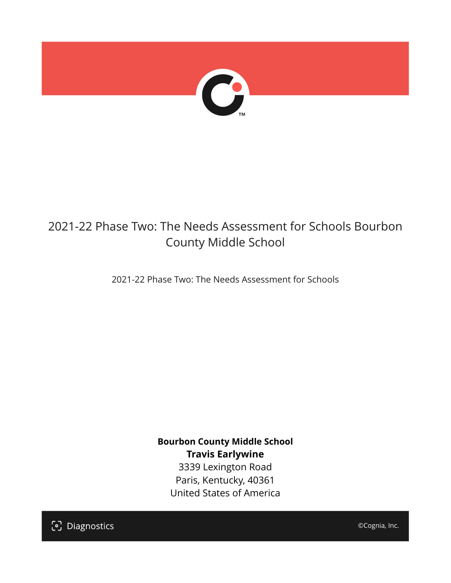

## 2021-22 Phase Two: The Needs Assessment for Schools Bourbon County Middle School

2021-22 Phase Two: The Needs Assessment for Schools

**Bourbon County Middle School Travis Earlywine** 3339 Lexington Road Paris, Kentucky, 40361 United States of America

[၁] Diagnostics

©Cognia, Inc.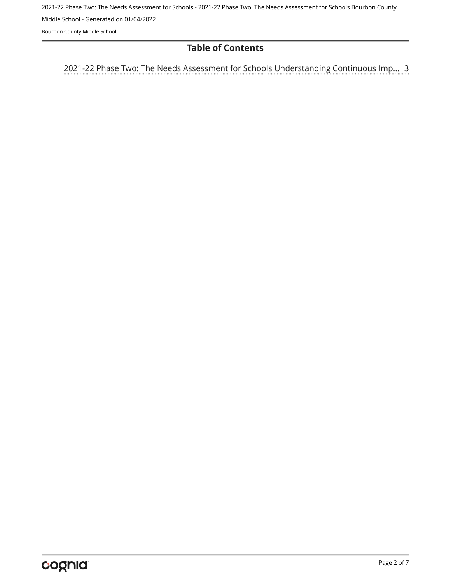2021-22 Phase Two: The Needs Assessment for Schools - 2021-22 Phase Two: The Needs Assessment for Schools Bourbon County Middle School - Generated on 01/04/2022

Bourbon County Middle School

#### **Table of Contents**

[3](#page-2-0) [2021-22 Phase Two: The Needs Assessment for Schools Understanding Continuous Imp…](#page-2-0)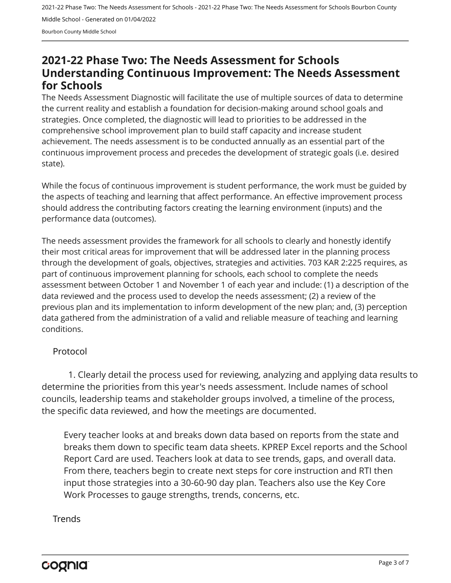2021-22 Phase Two: The Needs Assessment for Schools - 2021-22 Phase Two: The Needs Assessment for Schools Bourbon County Middle School - Generated on 01/04/2022 Bourbon County Middle School

### <span id="page-2-0"></span>**2021-22 Phase Two: The Needs Assessment for Schools Understanding Continuous Improvement: The Needs Assessment for Schools**

The Needs Assessment Diagnostic will facilitate the use of multiple sources of data to determine the current reality and establish a foundation for decision-making around school goals and strategies. Once completed, the diagnostic will lead to priorities to be addressed in the comprehensive school improvement plan to build staff capacity and increase student achievement. The needs assessment is to be conducted annually as an essential part of the continuous improvement process and precedes the development of strategic goals (i.e. desired state).

While the focus of continuous improvement is student performance, the work must be guided by the aspects of teaching and learning that affect performance. An effective improvement process should address the contributing factors creating the learning environment (inputs) and the performance data (outcomes).

The needs assessment provides the framework for all schools to clearly and honestly identify their most critical areas for improvement that will be addressed later in the planning process through the development of goals, objectives, strategies and activities. 703 KAR 2:225 requires, as part of continuous improvement planning for schools, each school to complete the needs assessment between October 1 and November 1 of each year and include: (1) a description of the data reviewed and the process used to develop the needs assessment; (2) a review of the previous plan and its implementation to inform development of the new plan; and, (3) perception data gathered from the administration of a valid and reliable measure of teaching and learning conditions.

#### Protocol

1. Clearly detail the process used for reviewing, analyzing and applying data results to determine the priorities from this year's needs assessment. Include names of school councils, leadership teams and stakeholder groups involved, a timeline of the process, the specific data reviewed, and how the meetings are documented.

Every teacher looks at and breaks down data based on reports from the state and breaks them down to specific team data sheets. KPREP Excel reports and the School Report Card are used. Teachers look at data to see trends, gaps, and overall data. From there, teachers begin to create next steps for core instruction and RTI then input those strategies into a 30-60-90 day plan. Teachers also use the Key Core Work Processes to gauge strengths, trends, concerns, etc.

#### **Trends**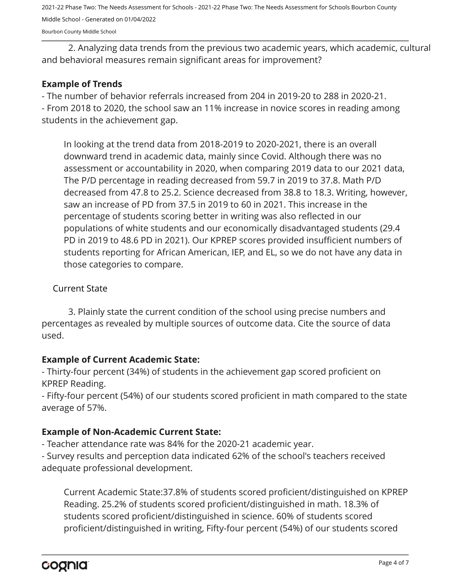2021-22 Phase Two: The Needs Assessment for Schools - 2021-22 Phase Two: The Needs Assessment for Schools Bourbon County Middle School - Generated on 01/04/2022

Bourbon County Middle School

2. Analyzing data trends from the previous two academic years, which academic, cultural and behavioral measures remain significant areas for improvement?

#### **Example of Trends**

- The number of behavior referrals increased from 204 in 2019-20 to 288 in 2020-21. - From 2018 to 2020, the school saw an 11% increase in novice scores in reading among students in the achievement gap.

In looking at the trend data from 2018-2019 to 2020-2021, there is an overall downward trend in academic data, mainly since Covid. Although there was no assessment or accountability in 2020, when comparing 2019 data to our 2021 data, The P/D percentage in reading decreased from 59.7 in 2019 to 37.8. Math P/D decreased from 47.8 to 25.2. Science decreased from 38.8 to 18.3. Writing, however, saw an increase of PD from 37.5 in 2019 to 60 in 2021. This increase in the percentage of students scoring better in writing was also reflected in our populations of white students and our economically disadvantaged students (29.4 PD in 2019 to 48.6 PD in 2021). Our KPREP scores provided insufficient numbers of students reporting for African American, IEP, and EL, so we do not have any data in those categories to compare.

#### Current State

3. Plainly state the current condition of the school using precise numbers and percentages as revealed by multiple sources of outcome data. Cite the source of data used.

#### **Example of Current Academic State:**

- Thirty-four percent (34%) of students in the achievement gap scored proficient on KPREP Reading.

- Fifty-four percent (54%) of our students scored proficient in math compared to the state average of 57%.

#### **Example of Non-Academic Current State:**

- Teacher attendance rate was 84% for the 2020-21 academic year.

- Survey results and perception data indicated 62% of the school's teachers received adequate professional development.

Current Academic State:37.8% of students scored proficient/distinguished on KPREP Reading. 25.2% of students scored proficient/distinguished in math. 18.3% of students scored proficient/distinguished in science. 60% of students scored proficient/distinguished in writing, Fifty-four percent (54%) of our students scored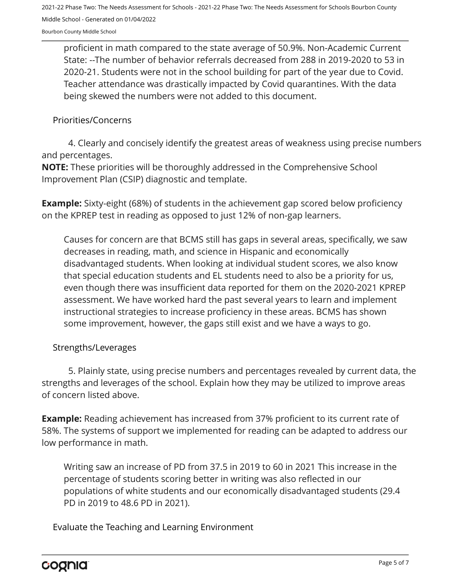2021-22 Phase Two: The Needs Assessment for Schools - 2021-22 Phase Two: The Needs Assessment for Schools Bourbon County Middle School - Generated on 01/04/2022

Bourbon County Middle School

proficient in math compared to the state average of 50.9%. Non-Academic Current State: --The number of behavior referrals decreased from 288 in 2019-2020 to 53 in 2020-21. Students were not in the school building for part of the year due to Covid. Teacher attendance was drastically impacted by Covid quarantines. With the data being skewed the numbers were not added to this document.

#### Priorities/Concerns

4. Clearly and concisely identify the greatest areas of weakness using precise numbers and percentages.

**NOTE:** These priorities will be thoroughly addressed in the Comprehensive School Improvement Plan (CSIP) diagnostic and template.

**Example:** Sixty-eight (68%) of students in the achievement gap scored below proficiency on the KPREP test in reading as opposed to just 12% of non-gap learners.

Causes for concern are that BCMS still has gaps in several areas, specifically, we saw decreases in reading, math, and science in Hispanic and economically disadvantaged students. When looking at individual student scores, we also know that special education students and EL students need to also be a priority for us, even though there was insufficient data reported for them on the 2020-2021 KPREP assessment. We have worked hard the past several years to learn and implement instructional strategies to increase proficiency in these areas. BCMS has shown some improvement, however, the gaps still exist and we have a ways to go.

#### Strengths/Leverages

5. Plainly state, using precise numbers and percentages revealed by current data, the strengths and leverages of the school. Explain how they may be utilized to improve areas of concern listed above.

**Example:** Reading achievement has increased from 37% proficient to its current rate of 58%. The systems of support we implemented for reading can be adapted to address our low performance in math.

Writing saw an increase of PD from 37.5 in 2019 to 60 in 2021 This increase in the percentage of students scoring better in writing was also reflected in our populations of white students and our economically disadvantaged students (29.4 PD in 2019 to 48.6 PD in 2021).

Evaluate the Teaching and Learning Environment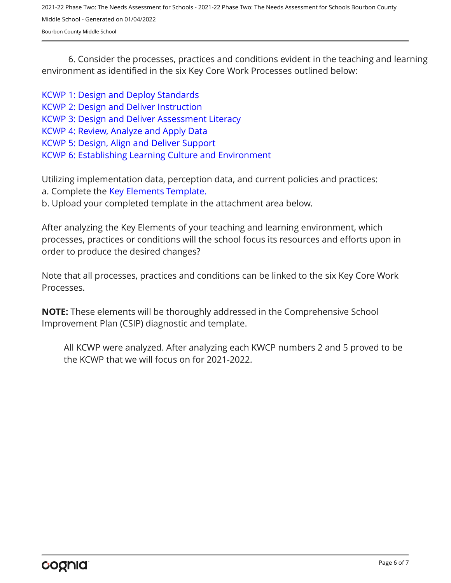2021-22 Phase Two: The Needs Assessment for Schools - 2021-22 Phase Two: The Needs Assessment for Schools Bourbon County Middle School - Generated on 01/04/2022 Bourbon County Middle School

6. Consider the processes, practices and conditions evident in the teaching and learning environment as identified in the six Key Core Work Processes outlined below:

[KCWP 1: Design and Deploy Standards](https://education.ky.gov/school/csip/Documents/KCWP%201%20Strategic%20Design%20and%20Deploy%20Standards.pdf) [KCWP 2: Design and Deliver Instruction](https://education.ky.gov/school/csip/Documents/KCWP%202%20Strategic%20Design%20and%20Deliver%20Instruction.pdf) [KCWP 3: Design and Deliver Assessment Literacy](https://education.ky.gov/school/csip/Documents/KCWP%203%20Strategic%20Design%20and%20Deliver%20Assessment%20Literacy.pdf) [KCWP 4: Review, Analyze and Apply Data](https://education.ky.gov/school/csip/Documents/KCWP%204%20Strategic%20Review%20Analyze%20and%20Apply%20Data.pdf) [KCWP 5: Design, Align and Deliver Support](https://education.ky.gov/school/csip/Documents/KCWP%205%20Strategic%20Design%20Align%20Deliver%20Support%20Processes.pdf) [KCWP 6: Establishing Learning Culture and Environment](https://education.ky.gov/school/csip/Documents/KCWP%206%20Strategic%20Establish%20Learning%20Culture%20and%20Environment.pdf)

Utilizing implementation data, perception data, and current policies and practices: a. Complete the [Key Elements Template.](https://education.ky.gov/school/csip/Documents/School%20Key%20Elements%20Template.docx)

b. Upload your completed template in the attachment area below.

After analyzing the Key Elements of your teaching and learning environment, which processes, practices or conditions will the school focus its resources and efforts upon in order to produce the desired changes?

Note that all processes, practices and conditions can be linked to the six Key Core Work Processes.

**NOTE:** These elements will be thoroughly addressed in the Comprehensive School Improvement Plan (CSIP) diagnostic and template.

All KCWP were analyzed. After analyzing each KWCP numbers 2 and 5 proved to be the KCWP that we will focus on for 2021-2022.